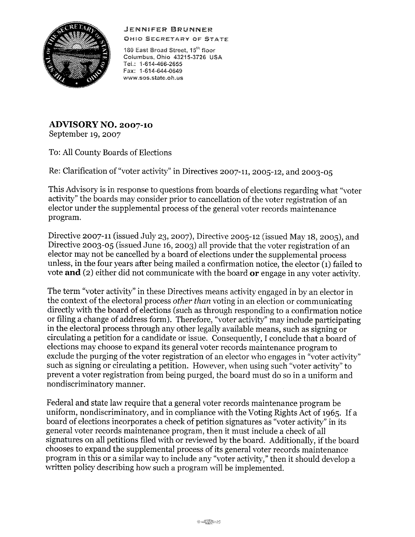## JENNIFER BRUNNER



OHIO SECRETARY OF STATE

180 East Broad Street, 15<sup>th</sup> floor Columbus, Ohio 43215-3726 USA TeL: 1-614-466-2655 Fax: 1-614-644-0649 www,sos.state.oh.us

**ADVISORY NO. 2007-10** 

September 19, 2007

To: All County Boards of Elections

Re: Clarification of "voter activity" in Directives 2007-11, 2005-12, and 2003-05

This Advisory is in response to questions from boards of elections regarding what "voter activity" the boards may consider prior to cancellation of the voter registration of an elector under the supplemental process of the general voter records maintenance program.

Directive 2007-11 (issued July 23, 2007), Directive 2005-12 (issued May 18, 2005), and Directive 2003-05 (issued June 16, 2003) all provide that the voter registration of an elector may not be cancelled by a board of elections under the supplemental process unless, in the four years after being mailed a confirmation notice, the elector (1) failed to vote **and** (2) either did not communicate with the board **or** engage in any voter activity.

The term "voter activity" in these Directives means activity engaged in by an elector in the context of the electoral process *other than* voting in an election or communicating directly with the board of elections (such as through responding to a confirmation notice or filing a change of address form). Therefore, "voter activity" may include participating in the electoral process through any other legally available means, such as signing or circulating a petition for a candidate or issue. Consequently, I conclude that a board of elections may choose to expand its general voter records maintenance program to exclude the purging of the voter registration of an elector who engages in "voter activity" such as signing or circulating a petition. However, when using such "voter activity" to prevent a voter registration from being purged, the board must do so in a uniform and nondiscriminatory manner.

Federal and state law require that a general voter records maintenance program be uniform, nondiscriminatory, and in compliance with the Voting Rights Act of 1965. If a board of elections incorporates a check of petition signatures as "voter activity" in its general voter records maintenance program, then it must include a check of all signatures on all petitions filed with or reviewed by the board. Additionally, if the board chooses to expand the supplemental process of its general voter records maintenance program in this or a similar way to include any "voter activity," then it should develop a written policy describing how such a program will be implemented.